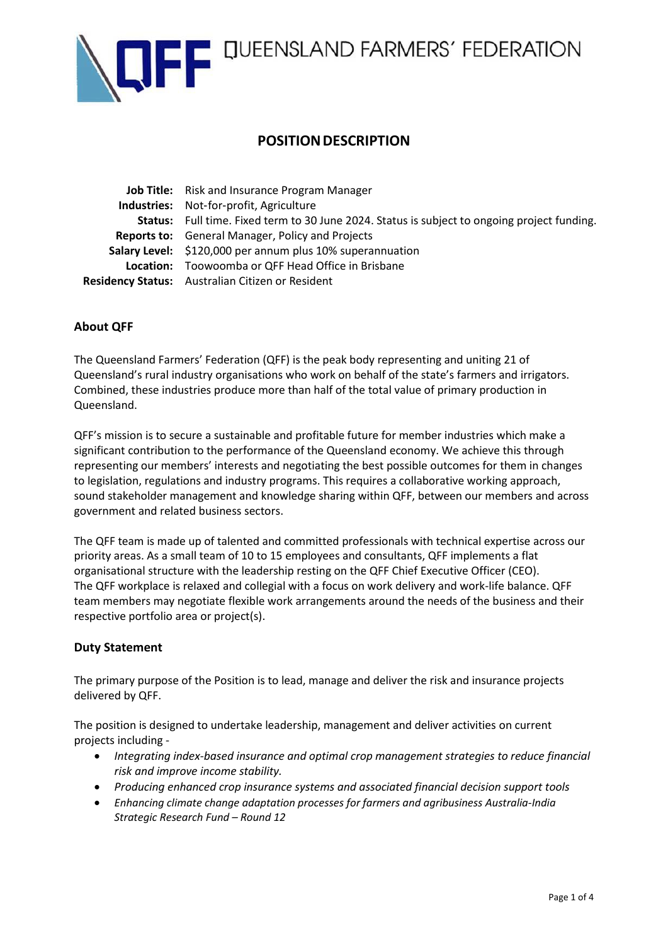

# E E QUEENSLAND FARMERS' FEDERATION

# **POSITION DESCRIPTION**

**Job Title:** Risk and Insurance Program Manager **Industries:** Not‐for‐profit, Agriculture **Status:** Full time. Fixed term to 30 June 2024. Status is subject to ongoing project funding. **Reports to:** General Manager, Policy and Projects **Salary Level:** \$120,000 per annum plus 10% superannuation **Location:** Toowoomba or QFF Head Office in Brisbane **Residency Status:** Australian Citizen or Resident

# **About QFF**

The Queensland Farmers' Federation (QFF) is the peak body representing and uniting 21 of Queensland's rural industry organisations who work on behalf of the state's farmers and irrigators. Combined, these industries produce more than half of the total value of primary production in Queensland.

QFF's mission is to secure a sustainable and profitable future for member industries which make a significant contribution to the performance of the Queensland economy. We achieve this through representing our members' interests and negotiating the best possible outcomes for them in changes to legislation, regulations and industry programs. This requires a collaborative working approach, sound stakeholder management and knowledge sharing within QFF, between our members and across government and related business sectors.

The QFF team is made up of talented and committed professionals with technical expertise across our priority areas. As a small team of 10 to 15 employees and consultants, QFF implements a flat organisational structure with the leadership resting on the QFF Chief Executive Officer (CEO). The QFF workplace is relaxed and collegial with a focus on work delivery and work-life balance. QFF team members may negotiate flexible work arrangements around the needs of the business and their respective portfolio area or project(s).

# **Duty Statement**

The primary purpose of the Position is to lead, manage and deliver the risk and insurance projects delivered by QFF.

The position is designed to undertake leadership, management and deliver activities on current projects including -

- *Integrating index-based insurance and optimal crop management strategies to reduce financial risk and improve income stability.*
- *Producing enhanced crop insurance systems and associated financial decision support tools*
- *Enhancing climate change adaptation processes for farmers and agribusiness Australia-India Strategic Research Fund – Round 12*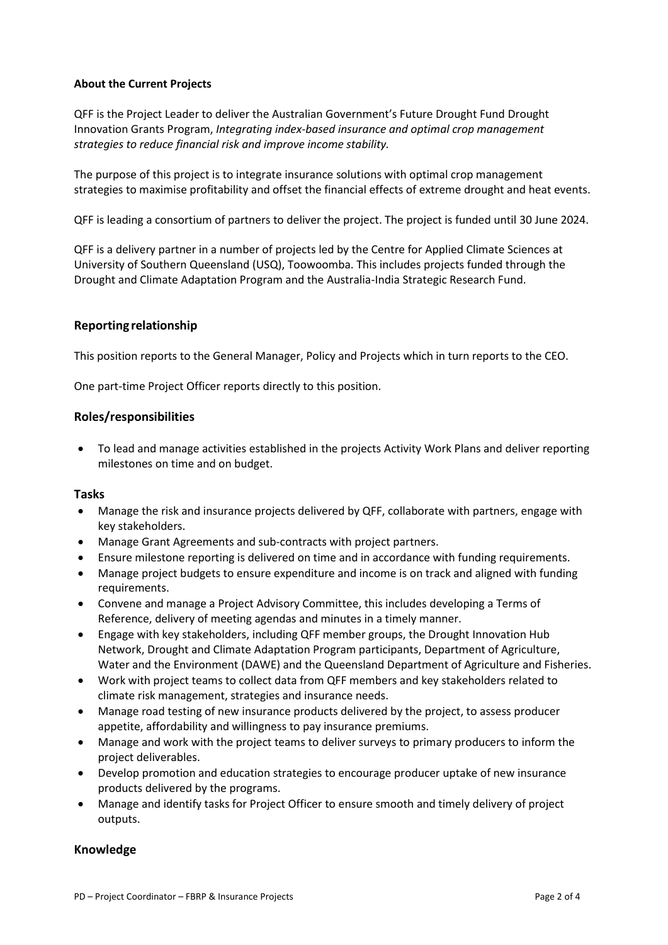#### **About the Current Projects**

QFF is the Project Leader to deliver the Australian Government's Future Drought Fund Drought Innovation Grants Program, *Integrating index-based insurance and optimal crop management strategies to reduce financial risk and improve income stability.*

The purpose of this project is to integrate insurance solutions with optimal crop management strategies to maximise profitability and offset the financial effects of extreme drought and heat events.

QFF is leading a consortium of partners to deliver the project. The project is funded until 30 June 2024.

QFF is a delivery partner in a number of projects led by the Centre for Applied Climate Sciences at University of Southern Queensland (USQ), Toowoomba. This includes projects funded through the Drought and Climate Adaptation Program and the Australia-India Strategic Research Fund.

# **Reporting relationship**

This position reports to the General Manager, Policy and Projects which in turn reports to the CEO.

One part-time Project Officer reports directly to this position.

# **Roles/responsibilities**

• To lead and manage activities established in the projects Activity Work Plans and deliver reporting milestones on time and on budget.

#### **Tasks**

- Manage the risk and insurance projects delivered by QFF, collaborate with partners, engage with key stakeholders.
- Manage Grant Agreements and sub-contracts with project partners.
- Ensure milestone reporting is delivered on time and in accordance with funding requirements.
- Manage project budgets to ensure expenditure and income is on track and aligned with funding requirements.
- Convene and manage a Project Advisory Committee, this includes developing a Terms of Reference, delivery of meeting agendas and minutes in a timely manner.
- Engage with key stakeholders, including QFF member groups, the Drought Innovation Hub Network, Drought and Climate Adaptation Program participants, Department of Agriculture, Water and the Environment (DAWE) and the Queensland Department of Agriculture and Fisheries.
- Work with project teams to collect data from QFF members and key stakeholders related to climate risk management, strategies and insurance needs.
- Manage road testing of new insurance products delivered by the project, to assess producer appetite, affordability and willingness to pay insurance premiums.
- Manage and work with the project teams to deliver surveys to primary producers to inform the project deliverables.
- Develop promotion and education strategies to encourage producer uptake of new insurance products delivered by the programs.
- Manage and identify tasks for Project Officer to ensure smooth and timely delivery of project outputs.

#### **Knowledge**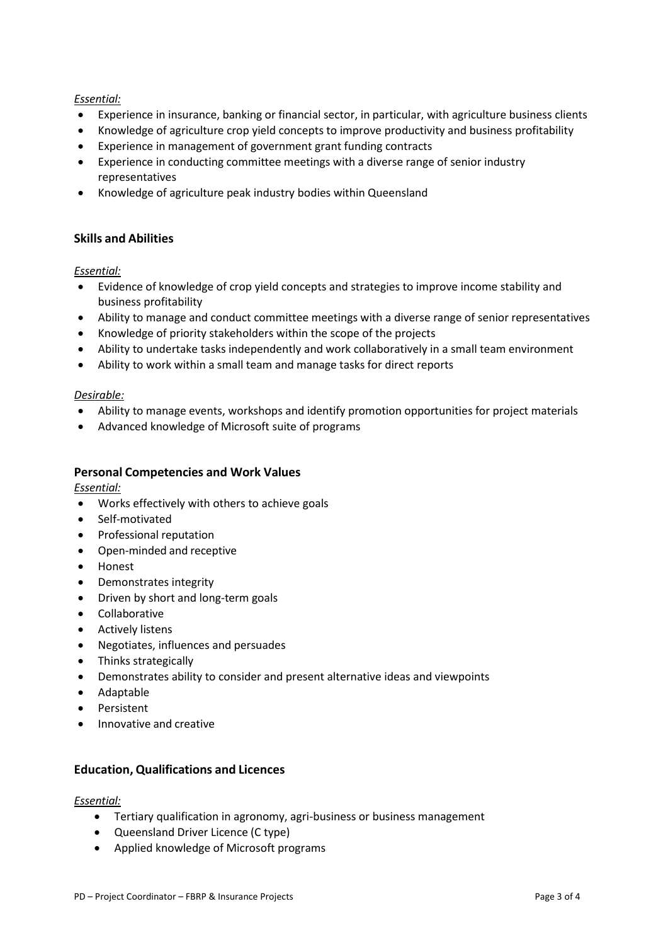### *Essential:*

- Experience in insurance, banking or financial sector, in particular, with agriculture business clients
- Knowledge of agriculture crop yield concepts to improve productivity and business profitability
- Experience in management of government grant funding contracts
- Experience in conducting committee meetings with a diverse range of senior industry representatives
- Knowledge of agriculture peak industry bodies within Queensland

# **Skills and Abilities**

#### *Essential:*

- Evidence of knowledge of crop yield concepts and strategies to improve income stability and business profitability
- Ability to manage and conduct committee meetings with a diverse range of senior representatives
- Knowledge of priority stakeholders within the scope of the projects
- Ability to undertake tasks independently and work collaboratively in a small team environment
- Ability to work within a small team and manage tasks for direct reports

#### *Desirable:*

- Ability to manage events, workshops and identify promotion opportunities for project materials
- Advanced knowledge of Microsoft suite of programs

# **Personal Competencies and Work Values**

*Essential:*

- Works effectively with others to achieve goals
- Self‐motivated
- Professional reputation
- Open‐minded and receptive
- Honest
- Demonstrates integrity
- Driven by short and long‐term goals
- Collaborative
- Actively listens
- Negotiates, influences and persuades
- Thinks strategically
- Demonstrates ability to consider and present alternative ideas and viewpoints
- Adaptable
- Persistent
- Innovative and creative

#### **Education, Qualifications and Licences**

#### *Essential:*

- Tertiary qualification in agronomy, agri-business or business management
- Queensland Driver Licence (C type)
- Applied knowledge of Microsoft programs